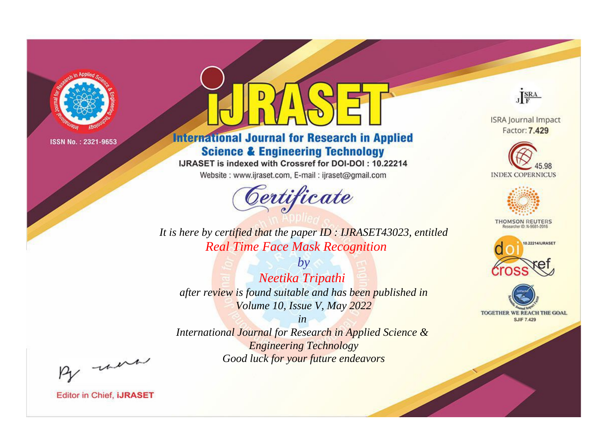

# **International Journal for Research in Applied Science & Engineering Technology**

IJRASET is indexed with Crossref for DOI-DOI: 10.22214

Website: www.ijraset.com, E-mail: ijraset@gmail.com



**ISRA Journal Impact** Factor: 7.429

JERA

**INDEX COPERNICUS** 



**THOMSON REUTERS** 



TOGETHER WE REACH THE GOAL **SJIF 7.429** 

*It is here by certified that the paper ID : IJRASET43023, entitled Real Time Face Mask Recognition*

*by Neetika Tripathi after review is found suitable and has been published in Volume 10, Issue V, May 2022*

*in* 

*International Journal for Research in Applied Science & Engineering Technology Good luck for your future endeavors*

By morn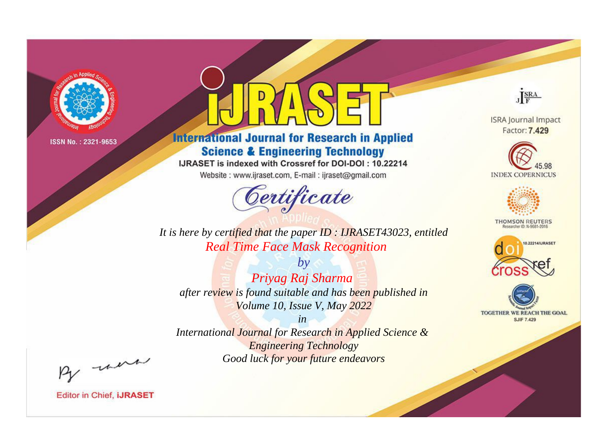

# **International Journal for Research in Applied Science & Engineering Technology**

IJRASET is indexed with Crossref for DOI-DOI: 10.22214

Website: www.ijraset.com, E-mail: ijraset@gmail.com



JERA

**ISRA Journal Impact** Factor: 7.429





**THOMSON REUTERS** 



TOGETHER WE REACH THE GOAL **SJIF 7.429** 

*It is here by certified that the paper ID : IJRASET43023, entitled Real Time Face Mask Recognition*

*by Priyag Raj Sharma after review is found suitable and has been published in Volume 10, Issue V, May 2022*

*in* 

*International Journal for Research in Applied Science & Engineering Technology Good luck for your future endeavors*

By morn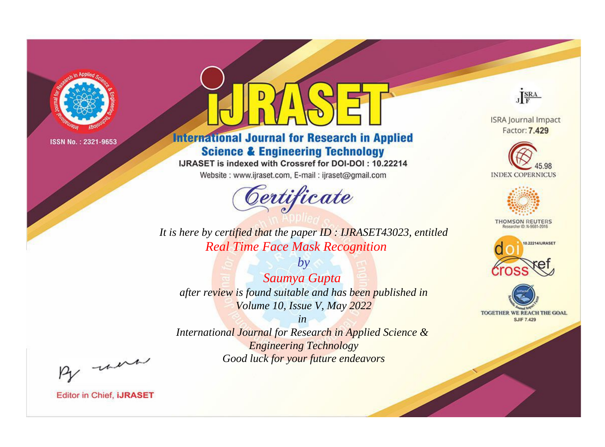

# **International Journal for Research in Applied Science & Engineering Technology**

IJRASET is indexed with Crossref for DOI-DOI: 10.22214

Website: www.ijraset.com, E-mail: ijraset@gmail.com



**ISRA Journal Impact** Factor: 7.429

JERA





**THOMSON REUTERS** 



TOGETHER WE REACH THE GOAL **SJIF 7.429** 

*It is here by certified that the paper ID : IJRASET43023, entitled Real Time Face Mask Recognition*

*by Saumya Gupta after review is found suitable and has been published in Volume 10, Issue V, May 2022*

*in International Journal for Research in Applied Science &* 

*Engineering Technology Good luck for your future endeavors*

By morn